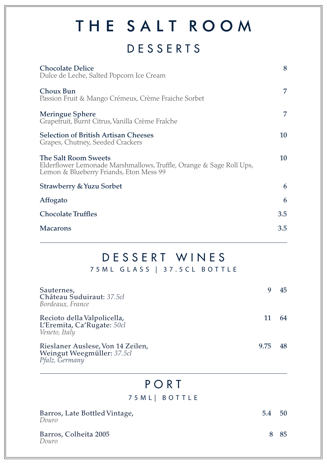# THE SALT ROOM

## DESSERTS

| <b>Chocolate Delice</b><br>Dulce de Leche, Salted Popcorn Ice Cream                                                                    | 8   |
|----------------------------------------------------------------------------------------------------------------------------------------|-----|
| Choux Bun<br>Passion Fruit & Mango Crémeux, Crème Fraiche Sorbet                                                                       | 7   |
| Meringue Sphere<br>Grapefruit, Burnt Citrus, Vanilla Crème Fraîche                                                                     | 7   |
| <b>Selection of British Artisan Cheeses</b><br>Grapes, Chutney, Seeded Crackers                                                        | 10  |
| The Salt Room Sweets<br>Elderflower Lemonade Marshmallows, Truffle, Orange & Sage Roll Ups,<br>Lemon & Blueberry Friands, Eton Mess 99 | 10  |
| Strawberry & Yuzu Sorbet                                                                                                               | 6   |
| Affogato                                                                                                                               | 6   |
| <b>Chocolate Truffles</b>                                                                                                              | 3.5 |
| <b>Macarons</b>                                                                                                                        | 3.5 |

### DESSERT WINES 75ML GLASS | 37.5CL BOTTLE

| Sauternes,<br>Château Suduiraut: 37.5cl<br>Bordeaux, France                       |      | 45 |
|-----------------------------------------------------------------------------------|------|----|
| Recioto della Valpolicella,<br>L'Eremita, Ca'Rugate: 50cl<br>Veneto, Italy        |      | 64 |
| Rieslaner Auslese, Von 14 Zeilen,<br>Weingut Weegmüller: 37.5cl<br>Pfalz, Germany | 9.75 | 48 |

### PORT

#### 75ML| BOTTLE

| Barros, Late Bottled Vintage,<br>Douro | 5.4 | 50 |
|----------------------------------------|-----|----|
| Barros, Colheita 2005<br>Douro         |     | 85 |